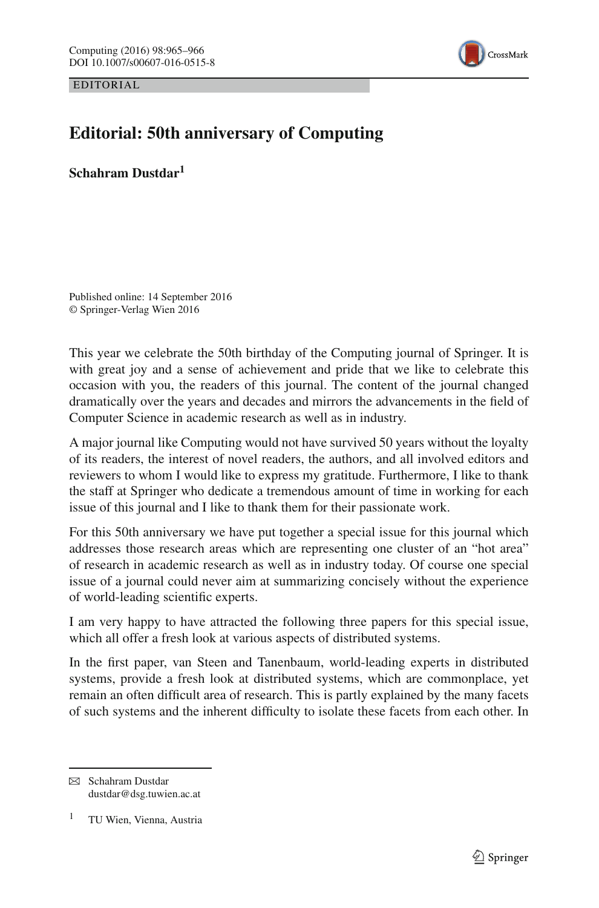EDITORIAL



## **Editorial: 50th anniversary of Computing**

**Schahram Dustdar1**

Published online: 14 September 2016 © Springer-Verlag Wien 2016

This year we celebrate the 50th birthday of the Computing journal of Springer. It is with great joy and a sense of achievement and pride that we like to celebrate this occasion with you, the readers of this journal. The content of the journal changed dramatically over the years and decades and mirrors the advancements in the field of Computer Science in academic research as well as in industry.

A major journal like Computing would not have survived 50 years without the loyalty of its readers, the interest of novel readers, the authors, and all involved editors and reviewers to whom I would like to express my gratitude. Furthermore, I like to thank the staff at Springer who dedicate a tremendous amount of time in working for each issue of this journal and I like to thank them for their passionate work.

For this 50th anniversary we have put together a special issue for this journal which addresses those research areas which are representing one cluster of an "hot area" of research in academic research as well as in industry today. Of course one special issue of a journal could never aim at summarizing concisely without the experience of world-leading scientific experts.

I am very happy to have attracted the following three papers for this special issue, which all offer a fresh look at various aspects of distributed systems.

In the first paper, van Steen and Tanenbaum, world-leading experts in distributed systems, provide a fresh look at distributed systems, which are commonplace, yet remain an often difficult area of research. This is partly explained by the many facets of such systems and the inherent difficulty to isolate these facets from each other. In

 $\boxtimes$  Schahram Dustdar dustdar@dsg.tuwien.ac.at

<sup>1</sup> TU Wien, Vienna, Austria